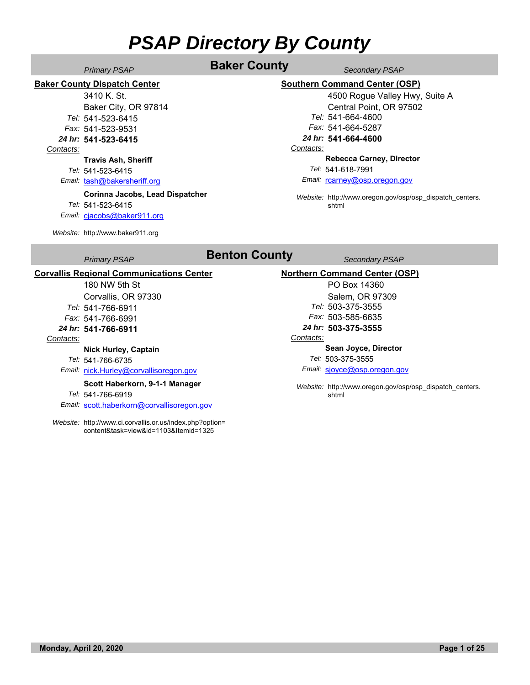## **Baker County** *Secondary PSAP* **Baker County** *Secondary PSAP*

**Baker County Dispatch Center**

3410 K. St. Baker City, OR 97814

*Tel:* 541-523-6415

*Fax:* 541-523-9531 *24 hr:* **541-523-6415**

### *Contacts:*

**Travis Ash, Sheriff**

*Tel:* 541-523-6415

*Email:* tash@bakersheriff.org

*Tel:* 541-523-6415 **Corinna Jacobs, Lead Dispatcher**

*Email:* cjacobs@baker911.org

*Website:* http://www.baker911.org

### **Southern Command Center (OSP)**

4500 Rogue Valley Hwy, Suite A Central Point, OR 97502 *Tel:* 541-664-4600 *Fax:* 541-664-5287 *24 hr:* **541-664-4600** *Contacts:* **Rebecca Carney, Director**

shtml

*Email:* rcarney@osp.oregon.gov *Tel:* 541-618-7991

*Website:* http://www.oregon.gov/osp/osp\_dispatch\_centers.

## **Benton County** *Secondary PSAP* **Benton County** *Secondary PSAP*

### **Corvallis Regional Communications Center**

180 NW 5th St Corvallis, OR 97330 *Tel:* 541-766-6911

*Fax:* 541-766-6991

### *24 hr:* **541-766-6911**

### *Contacts:*

### **Nick Hurley, Captain**

*Tel:* 541-766-6735

### *Email:* nick.Hurley@corvallisoregon.gov

### **Scott Haberkorn, 9-1-1 Manager**

*Tel:* 541-766-6919

*Email:* scott.haberkorn@corvallisoregon.gov

*Website:* http://www.ci.corvallis.or.us/index.php?option= content&task=view&id=1103&Itemid=1325

### **Northern Command Center (OSP)**

PO Box 14360 Salem, OR 97309 *Tel:* 503-375-3555 *Fax:* 503-585-6635

*24 hr:* **503-375-3555**

### *Contacts:*

### **Sean Joyce, Director**

- *Tel:* 503-375-3555
- *Email:* sjoyce@osp.oregon.gov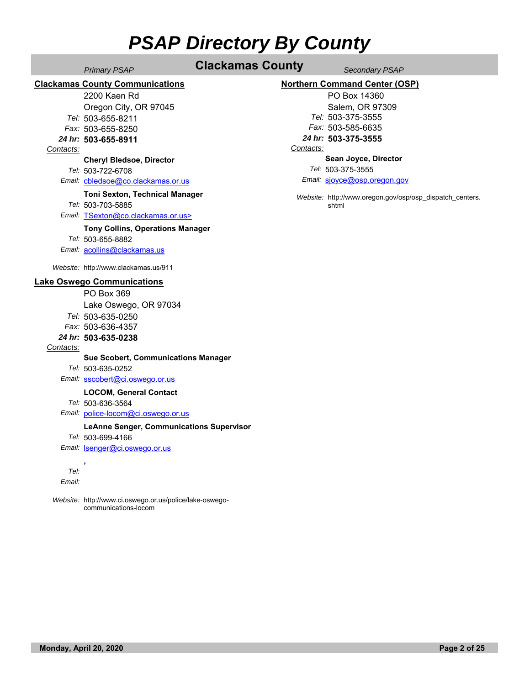## **Clackamas County** *Secondary PSAP* **Clackamas County**

### **Clackamas County Communications**

2200 Kaen Rd

Oregon City, OR 97045

*Tel:* 503-655-8211

*Fax:* 503-655-8250

*24 hr:* **503-655-8911**

### *Contacts:*

### **Cheryl Bledsoe, Director**

*Tel:* 503-722-6708

### *Email:* cbledsoe@co.clackamas.or.us

**Toni Sexton, Technical Manager**

*Tel:* 503-703-5885

*Email:* TSexton@co.clackamas.or.us>

### **Tony Collins, Operations Manager**

*Tel:* 503-655-8882

*Email:* acollins@clackamas.us

*Website:* http://www.clackamas.us/911

### **Lake Oswego Communications**

PO Box 369 Lake Oswego, OR 97034 *Tel:* 503-635-0250 *Fax:* 503-636-4357 *24 hr:* **503-635-0238**

### *Contacts:*

**Sue Scobert, Communications Manager**

*Tel:* 503-635-0252

### *Email:* sscobert@ci.oswego.or.us

**LOCOM, General Contact**

*Tel:* 503-636-3564

*Email:* police-locom@ci.oswego.or.us

### **LeAnne Senger, Communications Supervisor**

- *Tel:* 503-699-4166
- *Email:* lsenger@ci.oswego.or.us
	- *Tel:*

**,** 

*Email:*

*Website:* http://www.ci.oswego.or.us/police/lake-oswegocommunications-locom

### **Northern Command Center (OSP)**

PO Box 14360 Salem, OR 97309 *Tel:* 503-375-3555 *Fax:* 503-585-6635 *24 hr:* **503-375-3555**

### *Contacts:*

**Sean Joyce, Director**

*Tel:* 503-375-3555

*Email:* sjoyce@osp.oregon.gov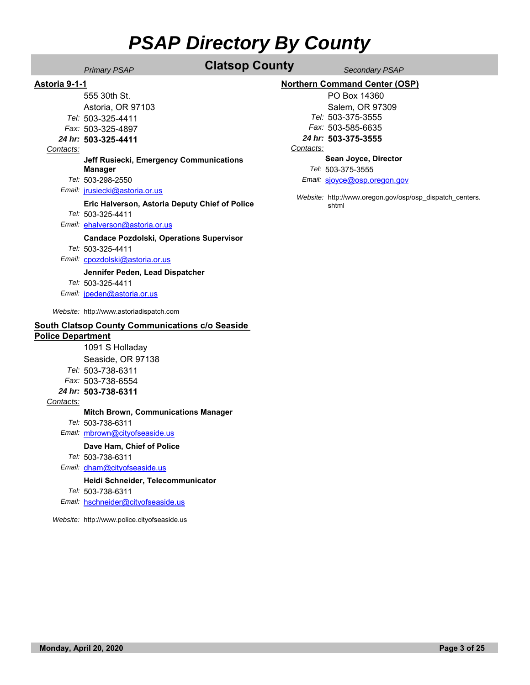**Clatsop County** *Secondary PSAP* **Clatsop County** *Secondary PSAP* 

### **Astoria 9-1-1**

555 30th St. Astoria, OR 97103 *Tel:* 503-325-4411

*Fax:* 503-325-4897

*24 hr:* **503-325-4411**

### *Contacts:*

**Jeff Rusiecki, Emergency Communications Manager**

- *Tel:* 503-298-2550
- *Email:* jrusiecki@astoria.or.us

### **Eric Halverson, Astoria Deputy Chief of Police**

*Tel:* 503-325-4411

*Email:* ehalverson@astoria.or.us

### **Candace Pozdolski, Operations Supervisor**

- *Tel:* 503-325-4411
- *Email:* cpozdolski@astoria.or.us

### **Jennifer Peden, Lead Dispatcher**

*Email:* jpeden@astoria.or.us *Tel:* 503-325-4411

*Website:* http://www.astoriadispatch.com

### **South Clatsop County Communications c/o Seaside Police Department**

1091 S Holladay Seaside, OR 97138 *Tel:* 503-738-6311

### *Fax:* 503-738-6554 *24 hr:* **503-738-6311**

### *Contacts:*

### **Mitch Brown, Communications Manager**

- *Tel:* 503-738-6311
- *Email:* mbrown@cityofseaside.us

### **Dave Ham, Chief of Police**

*Tel:* 503-738-6311

### *Email:* dham@cityofseaside.us

### **Heidi Schneider, Telecommunicator**

*Tel:* 503-738-6311

*Email:* hschneider@cityofseaside.us

*Website:* http://www.police.cityofseaside.us

### **Northern Command Center (OSP)**

PO Box 14360 Salem, OR 97309 *Tel:* 503-375-3555 *Fax:* 503-585-6635 *24 hr:* **503-375-3555**

### *Contacts:*

### **Sean Joyce, Director**

*Tel:* 503-375-3555

*Email:* sjoyce@osp.oregon.gov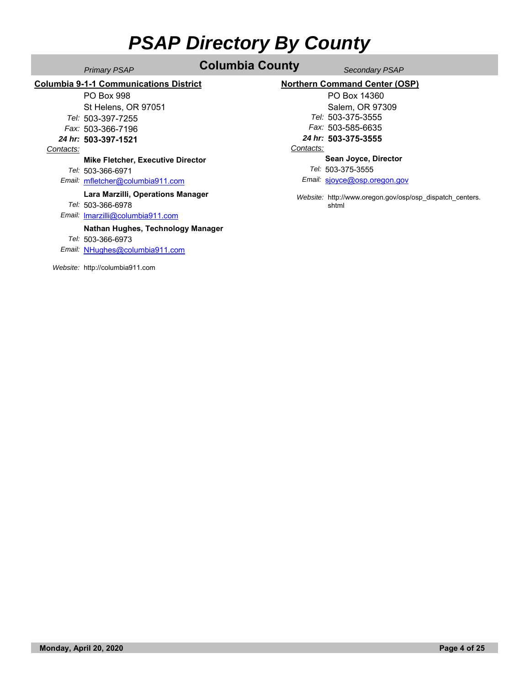## **Columbia County** *Secondary PSAP* **Columbia County** *Secondary PSAP*

### **Columbia 9-1-1 Communications District**

PO Box 998

St Helens, OR 97051 *Tel:* 503-397-7255

*Fax:* 503-366-7196

*24 hr:* **503-397-1521**

### *Contacts:*

### **Mike Fletcher, Executive Director**

*Tel:* 503-366-6971

### *Email:* mfletcher@columbia911.com

### **Lara Marzilli, Operations Manager**

*Tel:* 503-366-6978

*Email:* lmarzilli@columbia911.com

### **Nathan Hughes, Technology Manager**

*Tel:* 503-366-6973

*Email:* NHughes@columbia911.com

*Website:* http://columbia911.com

### **Northern Command Center (OSP)**

PO Box 14360 Salem, OR 97309 *Tel:* 503-375-3555 *Fax:* 503-585-6635 *24 hr:* **503-375-3555**

### *Contacts:*

### **Sean Joyce, Director**

*Tel:* 503-375-3555

*Email:* sjoyce@osp.oregon.gov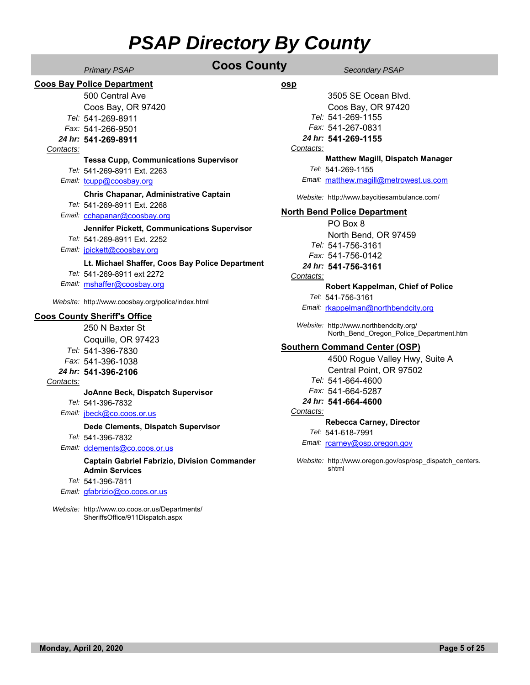|                                          | <b>Primary PSAP</b>                                                        | <b>Coos County</b> |           | Secondary PSAP                                                    |
|------------------------------------------|----------------------------------------------------------------------------|--------------------|-----------|-------------------------------------------------------------------|
| <b>Coos Bay Police Department</b><br>osp |                                                                            |                    |           |                                                                   |
|                                          | 500 Central Ave                                                            |                    |           | 3505 SE Ocean Blvd.                                               |
|                                          | Coos Bay, OR 97420                                                         |                    |           | Coos Bay, OR 97420                                                |
|                                          | Tel: 541-269-8911                                                          |                    |           | Tel: 541-269-1155                                                 |
|                                          | Fax: 541-266-9501                                                          |                    |           | Fax: 541-267-0831                                                 |
|                                          | 24 hr: 541-269-8911                                                        |                    |           | 24 hr: 541-269-1155                                               |
| Contacts:                                |                                                                            |                    | Contacts: |                                                                   |
|                                          | <b>Tessa Cupp, Communications Supervisor</b>                               |                    |           | Matthew Magill, Dispatch Manager                                  |
|                                          | Tel: 541-269-8911 Ext. 2263                                                |                    |           | Tel: 541-269-1155                                                 |
|                                          | Email tcupp@coosbay.org                                                    |                    |           | Email: matthew.magill@metrowest.us.com                            |
|                                          | Chris Chapanar, Administrative Captain<br>Tel: 541-269-8911 Ext. 2268      |                    |           | Website: http://www.baycitiesambulance.com/                       |
|                                          | Email cchapanar@coosbay.org                                                |                    |           | <b>North Bend Police Department</b>                               |
|                                          |                                                                            |                    |           | PO Box 8                                                          |
|                                          | Jennifer Pickett, Communications Supervisor<br>Tel: 541-269-8911 Ext. 2252 |                    |           | North Bend, OR 97459                                              |
|                                          | Email jpickett@coosbay.org                                                 |                    |           | Tel: 541-756-3161                                                 |
|                                          |                                                                            |                    |           | Fax: 541-756-0142                                                 |
|                                          | Lt. Michael Shaffer, Coos Bay Police Department                            |                    |           | 24 hr: 541-756-3161                                               |
|                                          | Tel: 541-269-8911 ext 2272                                                 |                    | Contacts: |                                                                   |
|                                          | Email mshaffer@coosbay.org                                                 |                    |           | Robert Kappelman, Chief of Police                                 |
|                                          | Website: http://www.coosbay.org/police/index.html                          |                    |           | Tel: 541-756-3161                                                 |
| <b>Coos County Sheriff's Office</b>      |                                                                            |                    |           | Email: rkappelman@northbendcity.org                               |
|                                          |                                                                            |                    |           | Website: http://www.northbendcity.org/                            |
|                                          | 250 N Baxter St                                                            |                    |           | North_Bend_Oregon_Police_Department.htm                           |
|                                          | Coquille, OR 97423                                                         |                    |           | <b>Southern Command Center (OSP)</b>                              |
|                                          | Tel: 541-396-7830                                                          |                    |           | 4500 Rogue Valley Hwy, Suite A                                    |
|                                          | Fax: 541-396-1038                                                          |                    |           | Central Point, OR 97502                                           |
| Contacts:                                | 24 hr: 541-396-2106                                                        |                    |           | Tel: 541-664-4600                                                 |
|                                          | JoAnne Beck, Dispatch Supervisor                                           |                    |           | Fax: 541-664-5287                                                 |
|                                          | Tel: 541-396-7832                                                          |                    |           | 24 hr: 541-664-4600                                               |
|                                          | Email: jbeck@co.coos.or.us                                                 |                    | Contacts: |                                                                   |
|                                          | Dede Clements, Dispatch Supervisor                                         |                    |           | <b>Rebecca Carney, Director</b>                                   |
|                                          | Tel: 541-396-7832                                                          |                    |           | Tel: 541-618-7991                                                 |
|                                          | Email dclements@co.coos.or.us                                              |                    |           | Email: rearney@osp.oregon.gov                                     |
|                                          | Captain Gabriel Fabrizio, Division Commander                               |                    |           | Website: http://www.oregon.gov/osp/osp dispatch centers.<br>shtml |
|                                          | <b>Admin Services</b>                                                      |                    |           |                                                                   |
|                                          | Tel: 541-396-7811<br>Email: gfabrizio@co.coos.or.us                        |                    |           |                                                                   |
|                                          |                                                                            |                    |           |                                                                   |
|                                          | Website: http://www.co.coos.or.us/Departments/                             |                    |           |                                                                   |

SheriffsOffice/911Dispatch.aspx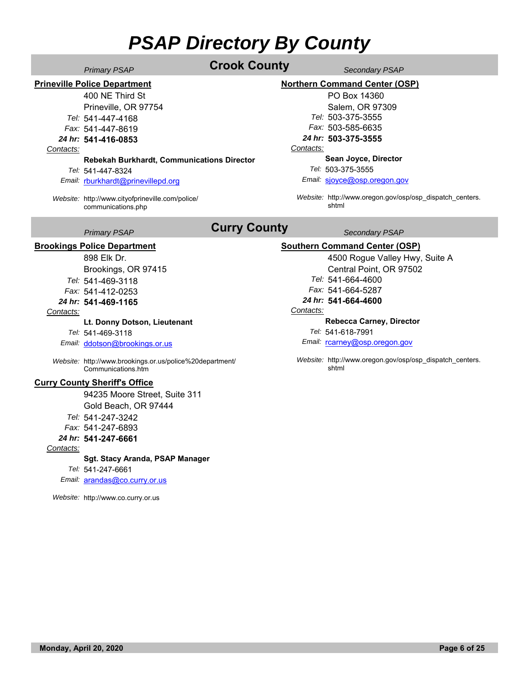## **Crook County** *Secondary PSAP* **Crook County** *Secondary PSAP*

**Prineville Police Department**

400 NE Third St Prineville, OR 97754

*Tel:* 541-447-4168

*Fax:* 541-447-8619

*24 hr:* **541-416-0853**

### *Contacts:*

### **Rebekah Burkhardt, Communications Director**

*Tel:* 541-447-8324

*Email:* rburkhardt@prinevillepd.org

*Website:* http://www.cityofprineville.com/police/ communications.php

### **Northern Command Center (OSP)**

PO Box 14360 Salem, OR 97309 *Tel:* 503-375-3555 *Fax:* 503-585-6635 *24 hr:* **503-375-3555** *Contacts:*

### **Sean Joyce, Director**

*Tel:* 503-375-3555

*Email:* sjoyce@osp.oregon.gov

Website: http://www.oregon.gov/osp/osp\_dispatch\_centers. shtml

## **Curry County** *Secondary PSAP* **Curry County** *Secondary PSAP*

### **Brookings Police Department**

898 Elk Dr.

Brookings, OR 97415 *Tel:* 541-469-3118 *Fax:* 541-412-0253

### *24 hr:* **541-469-1165**

*Contacts:*

### **Lt. Donny Dotson, Lieutenant**

*Tel:* 541-469-3118

*Email:* ddotson@brookings.or.us

*Website:* http://www.brookings.or.us/police%20department/ Communications.htm

### **Curry County Sheriff's Office**

94235 Moore Street, Suite 311 Gold Beach, OR 97444

*Tel:* 541-247-3242 *Fax:* 541-247-6893

### *24 hr:* **541-247-6661**

#### *Contacts:*

**Sgt. Stacy Aranda, PSAP Manager**

*Tel:* 541-247-6661

*Email:* arandas@co.curry.or.us

*Website:* http://www.co.curry.or.us

### **Southern Command Center (OSP)** 4500 Rogue Valley Hwy, Suite A

Central Point, OR 97502

*Tel:* 541-664-4600

*Fax:* 541-664-5287

*24 hr:* **541-664-4600**

### *Contacts:*

### **Rebecca Carney, Director**

- *Tel:* 541-618-7991
- *Email:* rcarney@osp.oregon.gov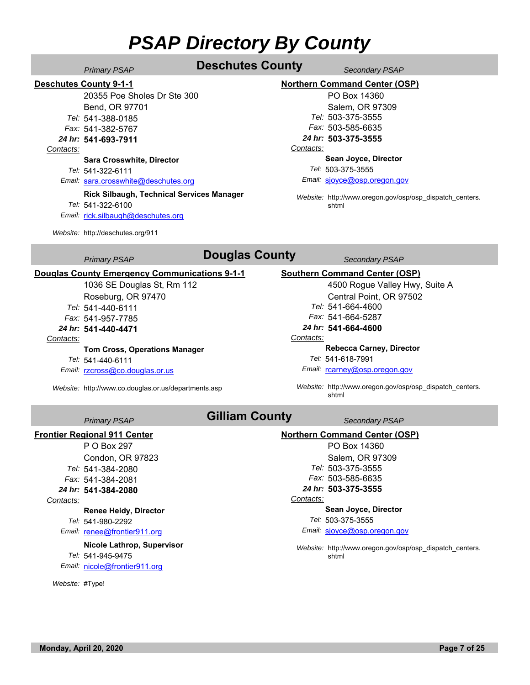### **Deschutes County 9-1-1**

20355 Poe Sholes Dr Ste 300 Bend, OR 97701 *Tel:* 541-388-0185 *Fax:* 541-382-5767 *24 hr:* **541-693-7911**

### *Contacts:*

### **Sara Crosswhite, Director**

*Tel:* 541-322-6111

*Email:* sara.crosswhite@deschutes.org

### **Rick Silbaugh, Technical Services Manager**

*Tel:* 541-322-6100

*Email:* rick.silbaugh@deschutes.org

*Website:* http://deschutes.org/911

## **Primary PSAP Deschutes County** *Primary PSAP*

### **Northern Command Center (OSP)**

PO Box 14360 Salem, OR 97309 *Tel:* 503-375-3555 *Fax:* 503-585-6635 *24 hr:* **503-375-3555**

### *Contacts:*

**Sean Joyce, Director**

*Tel:* 503-375-3555

*Email:* sjoyce@osp.oregon.gov

*Website:* http://www.oregon.gov/osp/osp\_dispatch\_centers. shtml

## **Douglas County** *Secondary PSAP* **Douglas County** *Secondary PSAP*

### **Douglas County Emergency Communications 9-1-1**

1036 SE Douglas St, Rm 112 Roseburg, OR 97470 *Tel:* 541-440-6111 *Fax:* 541-957-7785

*24 hr:* **541-440-4471**

### *Contacts:*

### **Tom Cross, Operations Manager**

*Tel:* 541-440-6111

*Email:* rzcross@co.douglas.or.us

*Website:* http://www.co.douglas.or.us/departments.asp

**Southern Command Center (OSP)**

4500 Rogue Valley Hwy, Suite A Central Point, OR 97502 *Tel:* 541-664-4600 *Fax:* 541-664-5287 *24 hr:* **541-664-4600**

### *Contacts:*

**Rebecca Carney, Director**

*Tel:* 541-618-7991

*Email:* rcarney@osp.oregon.gov

Website: http://www.oregon.gov/osp/osp\_dispatch\_centers. shtml

## **Gilliam County** *Secondary PSAP* **Gilliam County** *Secondary PSAP*

### **Frontier Regional 911 Center**

P O Box 297 Condon, OR 97823 *Tel:* 541-384-2080

*Fax:* 541-384-2081

### *24 hr:* **541-384-2080**

*Contacts:*

**Renee Heidy, Director**

*Email:* renee@frontier911.org *Tel:* 541-980-2292

### **Nicole Lathrop, Supervisor**

*Tel:* 541-945-9475

*Email:* nicole@frontier911.org

*Website:* #Type!

### **Northern Command Center (OSP)**

PO Box 14360 Salem, OR 97309 *Tel:* 503-375-3555 *Fax:* 503-585-6635 *24 hr:* **503-375-3555**

### *Contacts:*

*Tel:* 503-375-3555 **Sean Joyce, Director**

*Email:* sjoyce@osp.oregon.gov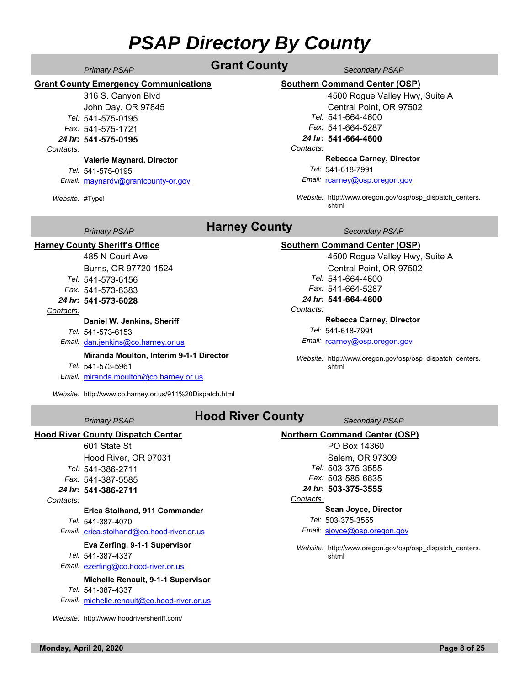### **Grant County** *Secondary PSAP* **Grant County** *Secondary PSAP*

### **Grant County Emergency Communications**

316 S. Canyon Blvd John Day, OR 97845 *Tel:* 541-575-0195 *Fax:* 541-575-1721

### *24 hr:* **541-575-0195**

#### *Contacts:*

### **Valerie Maynard, Director**

*Tel:* 541-575-0195

*Email:* maynardv@grantcounty-or.gov

*Website:* #Type!

### **Southern Command Center (OSP)**

4500 Rogue Valley Hwy, Suite A Central Point, OR 97502 *Tel:* 541-664-4600 *Fax:* 541-664-5287 *24 hr:* **541-664-4600** *Contacts:* **Rebecca Carney, Director**

*Contacts:*

*Tel:* 541-618-7991

*Email:* rcarney@osp.oregon.gov

**Southern Command Center (OSP)**

*Tel:* 541-664-4600 *Fax:* 541-664-5287 *24 hr:* **541-664-4600**

Email: rcarney@osp.oregon.gov

*Website:* http://www.oregon.gov/osp/osp\_dispatch\_centers. shtml

4500 Rogue Valley Hwy, Suite A

*Website:* http://www.oregon.gov/osp/osp\_dispatch\_centers.

Central Point, OR 97502

**Rebecca Carney, Director**

## **Harney County** *Secondary PSAP* **Harney County** *Secondary PSAP*

### **Harney County Sheriff's Office**

485 N Court Ave Burns, OR 97720-1524 *Tel:* 541-573-6156 *Fax:* 541-573-8383 *24 hr:* **541-573-6028**

### *Contacts:*

**Daniel W. Jenkins, Sheriff**

*Tel:* 541-573-6153

*Email:* dan.jenkins@co.harney.or.us

### **Miranda Moulton, Interim 9-1-1 Director**

*Tel:* 541-573-5961

*Email:* miranda.moulton@co.harney.or.us

*Website:* http://www.co.harney.or.us/911%20Dispatch.html

## **Hood River County** *Secondary PSAP* **Hood River County**

### **Hood River County Dispatch Center**

601 State St Hood River, OR 97031

*Tel:* 541-386-2711

### *Fax:* 541-387-5585

### *24 hr:* **541-386-2711** *Contacts:*

**Erica Stolhand, 911 Commander**

*Tel:* 541-387-4070

*Email:* erica.stolhand@co.hood-river.or.us

### **Eva Zerfing, 9-1-1 Supervisor**

*Tel:* 541-387-4337

*Email:* ezerfing@co.hood-river.or.us

**Michelle Renault, 9-1-1 Supervisor**

*Tel:* 541-387-4337

*Email:* michelle.renault@co.hood-river.or.us

*Website:* http://www.hoodriversheriff.com/

### **Northern Command Center (OSP)**

shtml

*Tel:* 541-618-7991

PO Box 14360 Salem, OR 97309 *Tel:* 503-375-3555 *Fax:* 503-585-6635

### *24 hr:* **503-375-3555**

*Contacts:*

*Tel:* 503-375-3555 **Sean Joyce, Director**

*Email:* sjoyce@osp.oregon.gov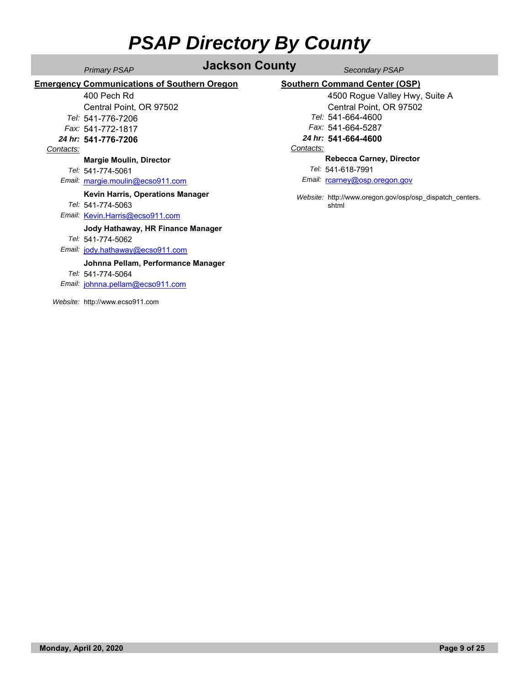## **Jackson County** *Secondary PSAP* **Jackson County**

**Emergency Communications of Southern Oregon**

400 Pech Rd

Central Point, OR 97502 *Tel:* 541-776-7206

*Fax:* 541-772-1817

*24 hr:* **541-776-7206**

### *Contacts:*

### **Margie Moulin, Director**

*Tel:* 541-774-5061

*Email:* margie.moulin@ecso911.com

### **Kevin Harris, Operations Manager**

*Tel:* 541-774-5063

*Email:* Kevin.Harris@ecso911.com

### **Jody Hathaway, HR Finance Manager**

*Tel:* 541-774-5062

*Email:* jody.hathaway@ecso911.com

### **Johnna Pellam, Performance Manager**

*Tel:* 541-774-5064

*Email:* johnna.pellam@ecso911.com

*Website:* http://www.ecso911.com

### **Southern Command Center (OSP)**

4500 Rogue Valley Hwy, Suite A Central Point, OR 97502 *Tel:* 541-664-4600 *Fax:* 541-664-5287 *24 hr:* **541-664-4600**

### *Contacts:*

### **Rebecca Carney, Director**

*Tel:* 541-618-7991

Email: rcarney@osp.oregon.gov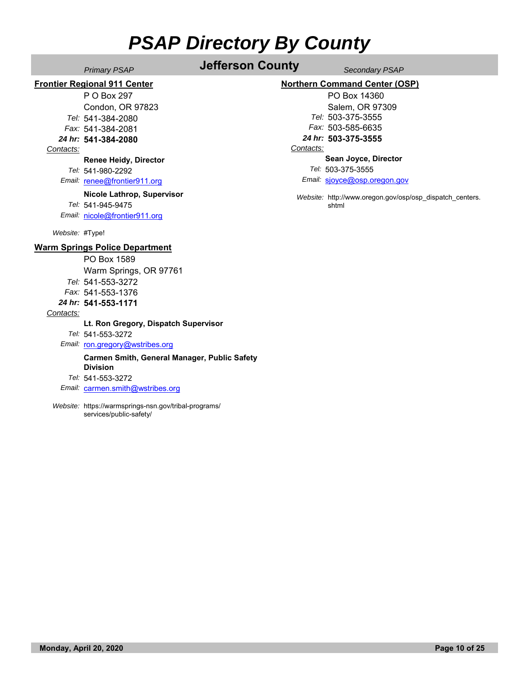## **Jefferson County** *Primary PSAP Secondary PSAP*

### **Northern Command Center (OSP)**

PO Box 14360 Salem, OR 97309 *Tel:* 503-375-3555 *Fax:* 503-585-6635 *24 hr:* **503-375-3555**

#### *Contacts:*

**Sean Joyce, Director**

*Tel:* 503-375-3555

*Email:* sjoyce@osp.oregon.gov

Website: http://www.oregon.gov/osp/osp\_dispatch\_centers. shtml

### **Frontier Regional 911 Center**

P O Box 297

Condon, OR 97823

*Tel:* 541-384-2080 *Fax:* 541-384-2081

*24 hr:* **541-384-2080**

### *Contacts:*

**Renee Heidy, Director**

*Tel:* 541-980-2292

*Email:* renee@frontier911.org

### **Nicole Lathrop, Supervisor**

*Tel:* 541-945-9475

*Email:* nicole@frontier911.org

*Website:* #Type!

### **Warm Springs Police Department**

PO Box 1589 Warm Springs, OR 97761 *Tel:* 541-553-3272 *Fax:* 541-553-1376

*24 hr:* **541-553-1171**

#### *Contacts:*

### **Lt. Ron Gregory, Dispatch Supervisor**

*Tel:* 541-553-3272

Email: ron.gregory@wstribes.org

### *Tel:* 541-553-3272 **Carmen Smith, General Manager, Public Safety Division**

*Email:* carmen.smith@wstribes.org

*Website:* https://warmsprings-nsn.gov/tribal-programs/ services/public-safety/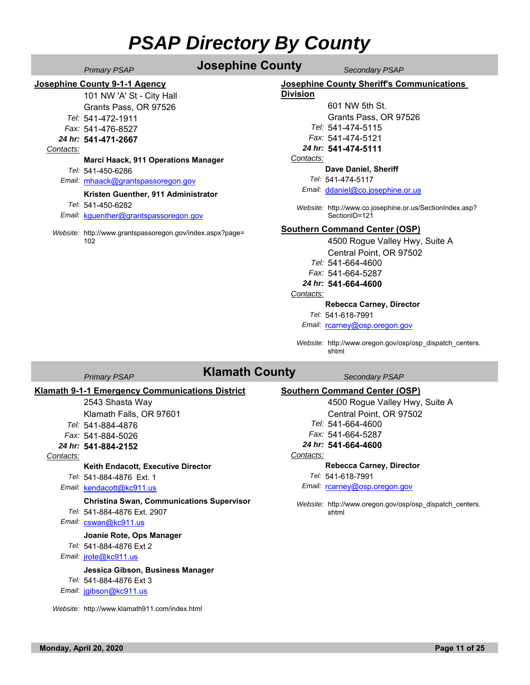## *Primary PSAP* **Josephine County** *Secondary PSAP*

### **Josephine County 9-1-1 Agency**

101 NW 'A' St - City Hall Grants Pass, OR 97526 *Tel:* 541-472-1911

*Fax:* 541-476-8527

*24 hr:* **541-471-2667**

### *Contacts:*

### **Marci Haack, 911 Operations Manager**

- *Tel:* 541-450-6286
- *Email:* mhaack@grantspassoregon.gov

### **Kristen Guenther, 911 Administrator**

### *Tel:* 541-450-6282

*Email:* kguenther@grantspassoregon.gov

*Website:* http://www.grantspassoregon.gov/index.aspx?page= 102

### **Josephine County Sheriff's Communications Division**

601 NW 5th St. Grants Pass, OR 97526 *Tel:* 541-474-5115 *Fax:* 541-474-5121 *24 hr:* **541-474-5111**

### *Contacts:*

**Dave Daniel, Sheriff**

*Tel:* 541-474-5117

*Email:* ddaniel@co.josephine.or.us

*Website:* http://www.co.josephine.or.us/SectionIndex.asp? SectionID=121

### **Southern Command Center (OSP)**

4500 Rogue Valley Hwy, Suite A Central Point, OR 97502 *Tel:* 541-664-4600 *Fax:* 541-664-5287 *24 hr:* **541-664-4600**

*Contacts:*

### **Rebecca Carney, Director**

*Tel:* 541-618-7991

*Email:* rcarney@osp.oregon.gov

*Website:* http://www.oregon.gov/osp/osp\_dispatch\_centers. shtml

## **Klamath County** *Secondary PSAP* **Klamath County** *Secondary PSAP*

### **Klamath 9-1-1 Emergency Communications District**

2543 Shasta Way Klamath Falls, OR 97601 *Tel:* 541-884-4876

- *Fax:* 541-884-5026
- *24 hr:* **541-884-2152**

### *Contacts:*

### **Keith Endacott, Executive Director**

*Tel:* 541-884-4876 Ext. 1

*Email:* kendacott@kc911.us

### **Christina Swan, Communications Supervisor**

*Tel:* 541-884-4876 Ext. 2907

*Email:* cswan@kc911.us

#### **Joanie Rote, Ops Manager**

*Tel:* 541-884-4876 Ext 2

### *Email:* jrote@kc911.us

### **Jessica Gibson, Business Manager**

*Tel:* 541-884-4876 Ext 3

*Email:* jgibson@kc911.us

*Website:* http://www.klamath911.com/index.html

### **Southern Command Center (OSP)**

4500 Rogue Valley Hwy, Suite A Central Point, OR 97502 *Tel:* 541-664-4600

### *Fax:* 541-664-5287

### *24 hr:* **541-664-4600**

*Contacts:*

### **Rebecca Carney, Director**

*Tel:* 541-618-7991

Email: rcarney@osp.oregon.gov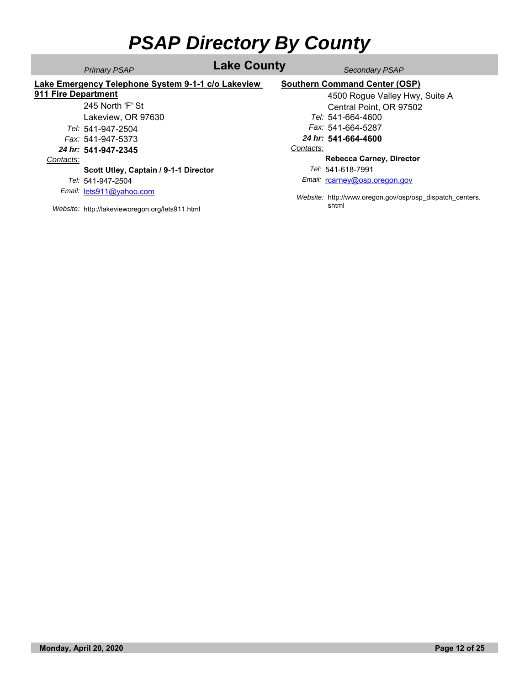## **Lake County** *Secondary PSAP* **Lake County** *Secondary PSAP*

### **Lake Emergency Telephone System 9-1-1 c/o Lakeview 911 Fire Department**

245 North 'F' St Lakeview, OR 97630

*Tel:* 541-947-2504

*Fax:* 541-947-5373

### *24 hr:* **541-947-2345**

*Contacts:*

### **Scott Utley, Captain / 9-1-1 Director**

*Tel:* 541-947-2504

*Email:* lets911@yahoo.com

*Website:* http://lakevieworegon.org/lets911.html

### **Southern Command Center (OSP)**

4500 Rogue Valley Hwy, Suite A Central Point, OR 97502 *Tel:* 541-664-4600 *Fax:* 541-664-5287 *24 hr:* **541-664-4600** *Contacts:*

### **Rebecca Carney, Director**

Email: rcarney@osp.oregon.gov *Tel:* 541-618-7991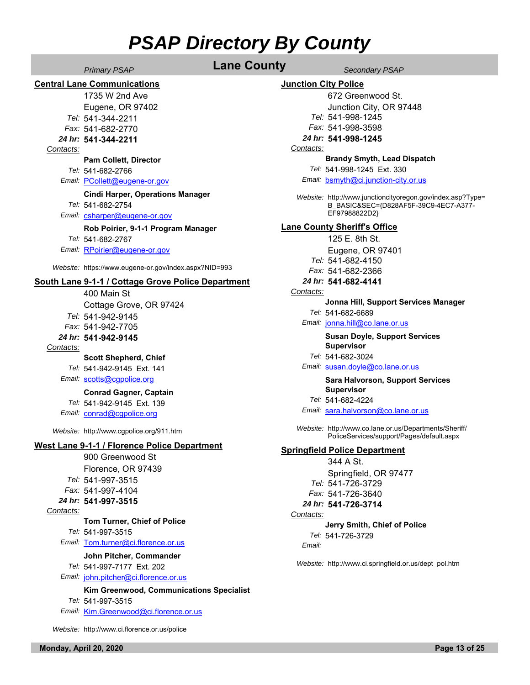### **Lane County** *Secondary PSAP* **Lane County** *Secondary PSAP*

### **Central Lane Communications**

1735 W 2nd Ave

Eugene, OR 97402 *Tel:* 541-344-2211

*Fax:* 541-682-2770

*24 hr:* **541-344-2211**

### *Contacts:*

### **Pam Collett, Director**

*Tel:* 541-682-2766

*Email:* PCollett@eugene-or.gov

### **Cindi Harper, Operations Manager**

*Tel:* 541-682-2754

*Email:* csharper@eugene-or.gov

### **Rob Poirier, 9-1-1 Program Manager**

*Tel:* 541-682-2767

*Email:* RPoirier@eugene-or.gov

*Website:* https://www.eugene-or.gov/index.aspx?NID=993

### **South Lane 9-1-1 / Cottage Grove Police Department**

400 Main St Cottage Grove, OR 97424 *Tel:* 541-942-9145 *Fax:* 541-942-7705

### *24 hr:* **541-942-9145**

#### *Contacts:*

### **Scott Shepherd, Chief**

*Tel:* 541-942-9145 Ext. 141

*Email:* scotts@cgpolice.org

### **Conrad Gagner, Captain**

*Email:* conrad@cgpolice.org *Tel:* 541-942-9145 Ext. 139

*Website:* http://www.cgpolice.org/911.htm

### **West Lane 9-1-1 / Florence Police Department**

900 Greenwood St Florence, OR 97439 *Tel:* 541-997-3515 *Fax:* 541-997-4104

### *24 hr:* **541-997-3515**

### *Contacts:*

### **Tom Turner, Chief of Police**

*Tel:* 541-997-3515

### *Email:* Tom.turner@ci.florence.or.us

**John Pitcher, Commander**

### *Tel:* 541-997-7177 Ext. 202

*Email:* john.pitcher@ci.florence.or.us

#### **Kim Greenwood, Communications Specialist**

*Tel:* 541-997-3515

*Email:* Kim.Greenwood@ci.florence.or.us

*Website:* http://www.ci.florence.or.us/police

672 Greenwood St.

### **Junction City Police**

Junction City, OR 97448 *Tel:* 541-998-1245 *Fax:* 541-998-3598 *24 hr:* **541-998-1245** *Contacts: Website:* http://www.junctioncityoregon.gov/index.asp?Type= B\_BASIC&SEC={D828AF5F-39C9-4EC7-A377- EF97988822D2} *Email:* bsmyth@ci.junction-city.or.us *Tel:* 541-998-1245 Ext. 330 **Brandy Smyth, Lead Dispatch Lane County Sheriff's Office** 125 E. 8th St. Eugene, OR 97401 *Tel:* 541-682-4150 *Fax:* 541-682-2366 *24 hr:* **541-682-4141** *Contacts: Email:* jonna.hill@co.lane.or.us *Tel:* 541-682-6689 **Jonna Hill, Support Services Manager**

### **Susan Doyle, Support Services Supervisor**

### *Tel:* 541-682-3024

*Email:* susan.doyle@co.lane.or.us

### **Sara Halvorson, Support Services Supervisor**

### *Tel:* 541-682-4224

*Email:* sara.halvorson@co.lane.or.us

*Website:* http://www.co.lane.or.us/Departments/Sheriff/ PoliceServices/support/Pages/default.aspx

### **Springfield Police Department**

344 A St. Springfield, OR 97477 *Tel:* 541-726-3729 *Fax:* 541-726-3640 *24 hr:* **541-726-3714**

### *Contacts:*

*Email: Tel:* 541-726-3729 **Jerry Smith, Chief of Police**

*Website:* http://www.ci.springfield.or.us/dept\_pol.htm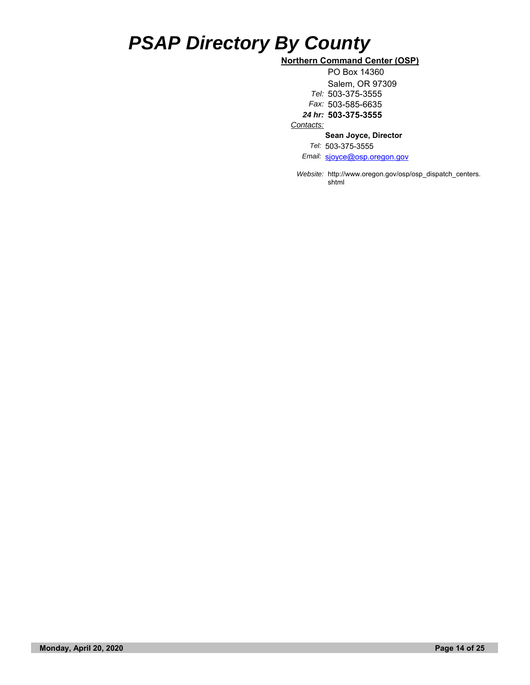**Northern Command Center (OSP)**

PO Box 14360 Salem, OR 97309 *Tel:* 503-375-3555 *Fax:* 503-585-6635 *24 hr:* **503-375-3555**

*Contacts:*

**Sean Joyce, Director**

*Tel:* 503-375-3555

*Email:* sjoyce@osp.oregon.gov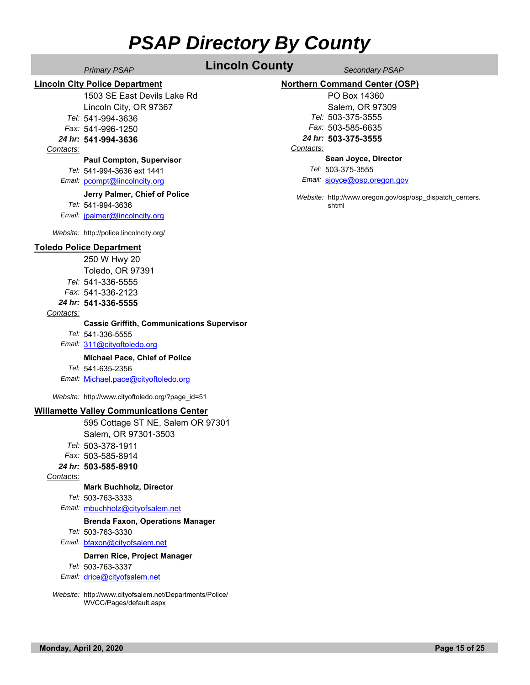## **Lincoln County** *Secondary PSAP* **Lincoln County** *Secondary PSAP*

**Lincoln City Police Department**

1503 SE East Devils Lake Rd Lincoln City, OR 97367 *Tel:* 541-994-3636

*Fax:* 541-996-1250

*24 hr:* **541-994-3636**

### *Contacts:*

### **Paul Compton, Supervisor**

*Email:* pcompt@lincolncity.org *Tel:* 541-994-3636 ext 1441

*Tel:* 541-994-3636 **Jerry Palmer, Chief of Police**

*Email:* jpalmer@lincolncity.org

*Website:* http://police.lincolncity.org/

### **Toledo Police Department**

250 W Hwy 20 Toledo, OR 97391 *Tel:* 541-336-5555

*Fax:* 541-336-2123

### *24 hr:* **541-336-5555**

### *Contacts:*

### **Cassie Griffith, Communications Supervisor**

*Tel:* 541-336-5555

*Email:* 311@cityoftoledo.org

### **Michael Pace, Chief of Police**

*Email:* Michael.pace@cityoftoledo.org *Tel:* 541-635-2356

*Website:* http://www.cityoftoledo.org/?page\_id=51

### **Willamette Valley Communications Center**

595 Cottage ST NE, Salem OR 97301 Salem, OR 97301-3503

*Tel:* 503-378-1911 *Fax:* 503-585-8914

*24 hr:* **503-585-8910**

*Contacts:*

### **Mark Buchholz, Director**

*Tel:* 503-763-3333

*Email:* mbuchholz@cityofsalem.net

### **Brenda Faxon, Operations Manager**

*Tel:* 503-763-3330

*Email:* bfaxon@cityofsalem.net

### **Darren Rice, Project Manager**

*Tel:* 503-763-3337

*Email:* drice@cityofsalem.net

*Website:* http://www.cityofsalem.net/Departments/Police/ WVCC/Pages/default.aspx

### **Northern Command Center (OSP)**

PO Box 14360 Salem, OR 97309 *Tel:* 503-375-3555 *Fax:* 503-585-6635 *24 hr:* **503-375-3555**

### *Contacts:*

**Sean Joyce, Director**

*Tel:* 503-375-3555

*Email:* sjoyce@osp.oregon.gov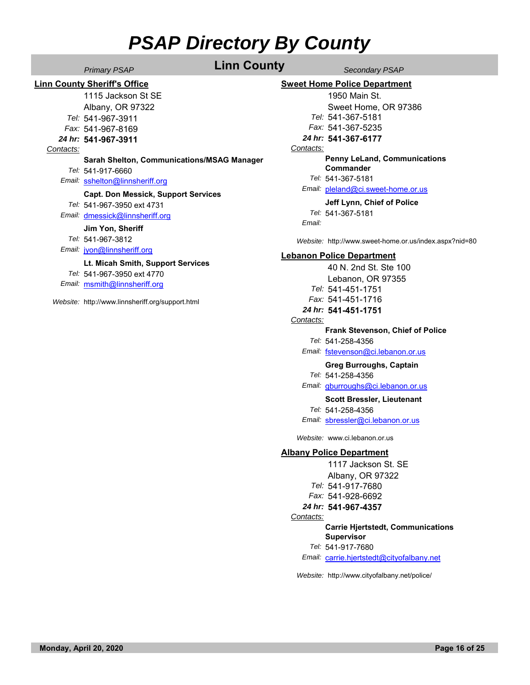## **Linn County** *Secondary PSAP* **Linn County** *Secondary PSAP*

**Linn County Sheriff's Office**

1115 Jackson St SE Albany, OR 97322 *Tel:* 541-967-3911 *Fax:* 541-967-8169

*24 hr:* **541-967-3911**

### *Contacts:*

**Sarah Shelton, Communications/MSAG Manager**

*Tel:* 541-917-6660

*Email:* sshelton@linnsheriff.org

### **Capt. Don Messick, Support Services**

*Tel:* 541-967-3950 ext 4731

*Email:* dmessick@linnsheriff.org

### **Jim Yon, Sheriff**

*Tel:* 541-967-3812

*Email:* jyon@linnsheriff.org

### **Lt. Micah Smith, Support Services**

*Email:* msmith@linnsheriff.org *Tel:* 541-967-3950 ext 4770

*Website:* http://www.linnsheriff.org/support.html

### **Sweet Home Police Department**

1950 Main St. Sweet Home, OR 97386 *Tel:* 541-367-5181 *Fax:* 541-367-5235 *24 hr:* **541-367-6177** *Contacts:* **Penny LeLand, Communications** 

**Commander**

*Tel:* 541-367-5181

*Email:* pleland@ci.sweet-home.or.us

*Tel:* 541-367-5181 **Jeff Lynn, Chief of Police**

*Email:*

*Website:* http://www.sweet-home.or.us/index.aspx?nid=80

### **Lebanon Police Department**

40 N. 2nd St. Ste 100 Lebanon, OR 97355 *Tel:* 541-451-1751 *Fax:* 541-451-1716 *24 hr:* **541-451-1751**

### *Contacts:*

### **Frank Stevenson, Chief of Police**

*Tel:* 541-258-4356

*Email:* fstevenson@ci.lebanon.or.us

### **Greg Burroughs, Captain**

*Tel:* 541-258-4356

*Email:* gburroughs@ci.lebanon.or.us

**Scott Bressler, Lieutenant**

*Tel:* 541-258-4356

*Email:* sbressler@ci.lebanon.or.us

*Website:* www.ci.lebanon.or.us

### **Albany Police Department**

1117 Jackson St. SE Albany, OR 97322 *Tel:* 541-917-7680 *Fax:* 541-928-6692

### *24 hr:* **541-967-4357**

### *Contacts:*

**Carrie Hjertstedt, Communications Supervisor**

*Tel:* 541-917-7680

*Email:* carrie.hjertstedt@cityofalbany.net

*Website:* http://www.cityofalbany.net/police/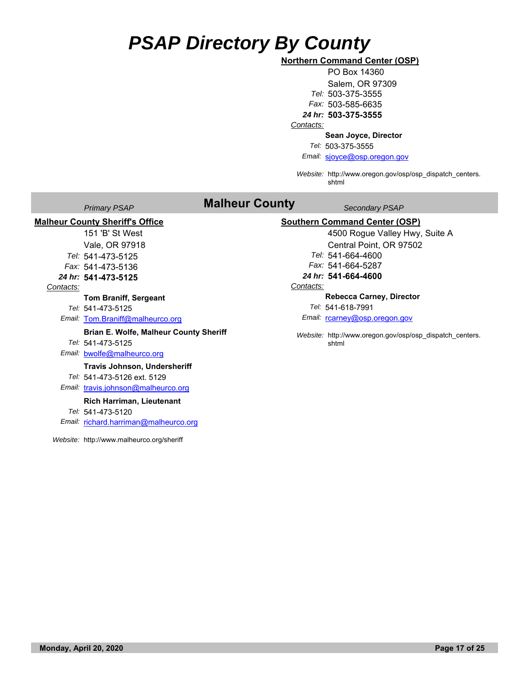### **Northern Command Center (OSP)**

PO Box 14360 Salem, OR 97309 *Tel:* 503-375-3555 *Fax:* 503-585-6635

*24 hr:* **503-375-3555**

### *Contacts:*

### **Sean Joyce, Director**

*Tel:* 503-375-3555

*Email:* sjoyce@osp.oregon.gov

*Website:* http://www.oregon.gov/osp/osp\_dispatch\_centers. shtml

### **Malheur County** *Secondary PSAP* **Malheur County** *Secondary PSAP*

### **Malheur County Sheriff's Office**

### **Southern Command Center (OSP)**

4500 Rogue Valley Hwy, Suite A Central Point, OR 97502 *Tel:* 541-664-4600 *Fax:* 541-664-5287

### *24 hr:* **541-664-4600**

### *Contacts:*

**Rebecca Carney, Director**

*Tel:* 541-618-7991

Email: rcarney@osp.oregon.gov

*Website:* http://www.oregon.gov/osp/osp\_dispatch\_centers. shtml

151 'B' St West Vale, OR 97918 *Tel:* 541-473-5125

*Fax:* 541-473-5136

### *24 hr:* **541-473-5125**

### *Contacts:*

**Tom Braniff, Sergeant**

*Tel:* 541-473-5125

*Email:* Tom.Braniff@malheurco.org

### **Brian E. Wolfe, Malheur County Sheriff**

*Tel:* 541-473-5125

*Email:* bwolfe@malheurco.org

#### **Travis Johnson, Undersheriff**

*Tel:* 541-473-5126 ext. 5129

### *Email:* travis.johnson@malheurco.org

### **Rich Harriman, Lieutenant**

*Tel:* 541-473-5120

*Email:* richard.harriman@malheurco.org

*Website:* http://www.malheurco.org/sheriff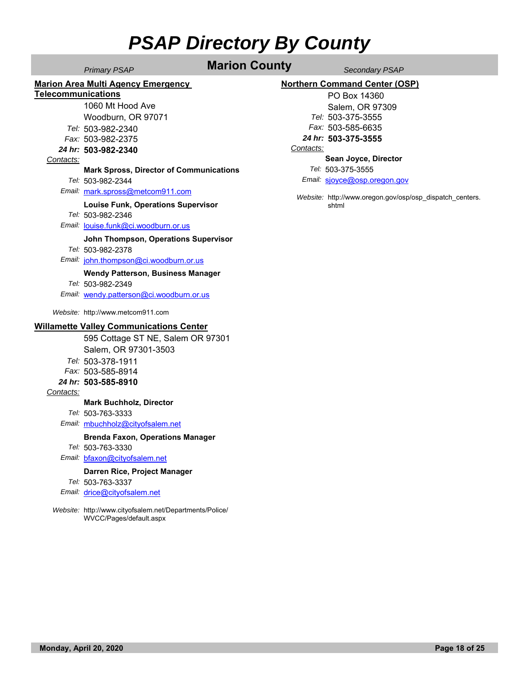## **Marion County** *Secondary PSAP* **Marion County** *Secondary PSAP*

**Marion Area Multi Agency Emergency** 

### **Telecommunications**

1060 Mt Hood Ave Woodburn, OR 97071

*Tel:* 503-982-2340

*Fax:* 503-982-2375

### *24 hr:* **503-982-2340**

### *Contacts:*

**Mark Spross, Director of Communications**

*Tel:* 503-982-2344

*Email:* mark.spross@metcom911.com

### **Louise Funk, Operations Supervisor**

*Tel:* 503-982-2346

*Email:* louise.funk@ci.woodburn.or.us

### **John Thompson, Operations Supervisor**

*Tel:* 503-982-2378

*Email:* john.thompson@ci.woodburn.or.us

### **Wendy Patterson, Business Manager**

*Tel:* 503-982-2349

*Email:* wendy.patterson@ci.woodburn.or.us

*Website:* http://www.metcom911.com

### **Willamette Valley Communications Center**

595 Cottage ST NE, Salem OR 97301 Salem, OR 97301-3503

- *Tel:* 503-378-1911
- *Fax:* 503-585-8914
- *24 hr:* **503-585-8910**

### *Contacts:*

### **Mark Buchholz, Director**

*Tel:* 503-763-3333

### *Email:* mbuchholz@cityofsalem.net

### **Brenda Faxon, Operations Manager**

*Tel:* 503-763-3330

*Email:* bfaxon@cityofsalem.net

### **Darren Rice, Project Manager**

*Tel:* 503-763-3337

*Email:* drice@cityofsalem.net

*Website:* http://www.cityofsalem.net/Departments/Police/ WVCC/Pages/default.aspx

### **Northern Command Center (OSP)**

PO Box 14360 Salem, OR 97309 *Tel:* 503-375-3555 *Fax:* 503-585-6635 *24 hr:* **503-375-3555**

### *Contacts:*

**Sean Joyce, Director**

*Tel:* 503-375-3555

*Email:* sjoyce@osp.oregon.gov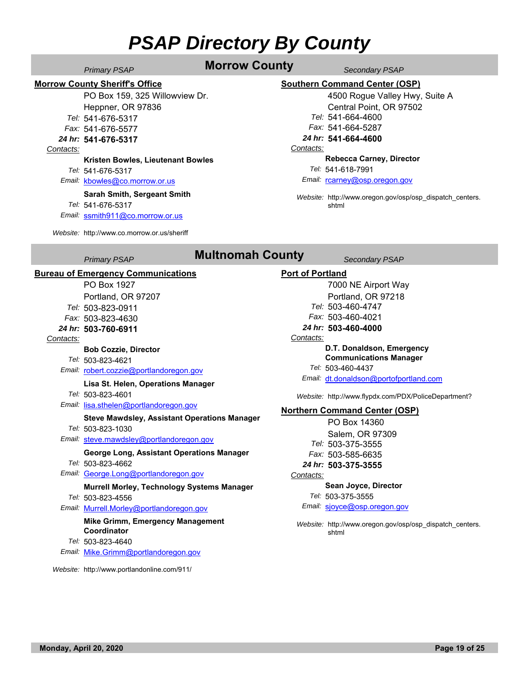### **Morrow County** *Secondary PSAP* **Morrow County** *Secondary PSAP*

**Morrow County Sheriff's Office**

PO Box 159, 325 Willowview Dr. Heppner, OR 97836 *Tel:* 541-676-5317 *Fax:* 541-676-5577

*24 hr:* **541-676-5317**

### *Contacts:*

**Kristen Bowles, Lieutenant Bowles**

*Tel:* 541-676-5317

*Email:* kbowles@co.morrow.or.us

**Sarah Smith, Sergeant Smith**

*Tel:* 541-676-5317

*Email:* ssmith911@co.morrow.or.us

*Website:* http://www.co.morrow.or.us/sheriff

### **Southern Command Center (OSP)**

4500 Rogue Valley Hwy, Suite A Central Point, OR 97502 *Tel:* 541-664-4600 *Fax:* 541-664-5287 *24 hr:* **541-664-4600** *Contacts:* **Rebecca Carney, Director**

*Tel:* 541-618-7991

*Email:* rcarney@osp.oregon.gov

*Website:* http://www.oregon.gov/osp/osp\_dispatch\_centers. shtml

## **Multnomah County** *Primary PSAP Secondary PSAP*

### **Bureau of Emergency Communications**

PO Box 1927 Portland, OR 97207 *Tel:* 503-823-0911

*Fax:* 503-823-4630 *24 hr:* **503-760-6911**

### *Contacts:*

### **Bob Cozzie, Director**

*Tel:* 503-823-4621

*Email:* robert.cozzie@portlandoregon.gov

### **Lisa St. Helen, Operations Manager**

- *Tel:* 503-823-4601
- *Email:* lisa.sthelen@portlandoregon.gov

### **Steve Mawdsley, Assistant Operations Manager**

*Tel:* 503-823-1030

*Email:* steve.mawdsley@portlandoregon.gov

*Tel:* 503-823-4662 **George Long, Assistant Operations Manager**

*Email:* George.Long@portlandoregon.gov

*Tel:* 503-823-4556 **Murrell Morley, Technology Systems Manager**

*Email:* Murrell.Morley@portlandoregon.gov

#### **Mike Grimm, Emergency Management Coordinator**

*Tel:* 503-823-4640

*Email:* Mike.Grimm@portlandoregon.gov

*Website:* http://www.portlandonline.com/911/

## **Port of Portland**

7000 NE Airport Way Portland, OR 97218 *Tel:* 503-460-4747 *Fax:* 503-460-4021

*24 hr:* **503-460-4000**

### *Contacts:*

**D.T. Donaldson, Emergency** 

#### *Tel:* 503-460-4437 **Communications Manager**

*Email:* dt.donaldson@portofportland.com

*Website:* http://www.flypdx.com/PDX/PoliceDepartment?

### **Northern Command Center (OSP)**

PO Box 14360 Salem, OR 97309 *Tel:* 503-375-3555 *Fax:* 503-585-6635 *24 hr:* **503-375-3555** *Contacts: Email:* sjoyce@osp.oregon.gov *Tel:* 503-375-3555 **Sean Joyce, Director**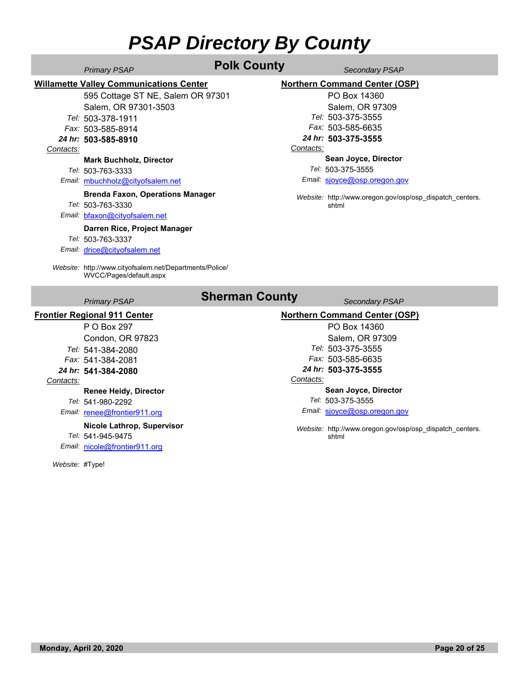## **Polk County** *Primary PSAP* **Polk County** *Secondary PSAP*

**Willamette Valley Communications Center**

595 Cottage ST NE, Salem OR 97301

Salem, OR 97301-3503

*Tel:* 503-378-1911

*Fax:* 503-585-8914

*24 hr:* **503-585-8910**

### *Contacts:*

### **Mark Buchholz, Director**

*Tel:* 503-763-3333

### *Email:* mbuchholz@cityofsalem.net

### **Brenda Faxon, Operations Manager**

*Tel:* 503-763-3330

*Email:* bfaxon@cityofsalem.net

### **Darren Rice, Project Manager**

*Tel:* 503-763-3337

*Email:* drice@cityofsalem.net

*Website:* http://www.cityofsalem.net/Departments/Police/ WVCC/Pages/default.aspx

### **Northern Command Center (OSP)**

PO Box 14360 Salem, OR 97309 *Tel:* 503-375-3555 *Fax:* 503-585-6635 *24 hr:* **503-375-3555**

### *Contacts:*

**Sean Joyce, Director**

*Tel:* 503-375-3555

*Email:* sjoyce@osp.oregon.gov

Website: http://www.oregon.gov/osp/osp\_dispatch\_centers. shtml

## **Sherman County** *Primary PSAP Secondary PSAP*

### **Frontier Regional 911 Center**

P O Box 297 Condon, OR 97823 *Tel:* 541-384-2080 *Fax:* 541-384-2081

### *24 hr:* **541-384-2080**

*Contacts:*

**Renee Heidy, Director**

*Tel:* 541-980-2292

*Email:* renee@frontier911.org **Nicole Lathrop, Supervisor**

*Tel:* 541-945-9475

*Email:* nicole@frontier911.org

*Website:* #Type!

### **Northern Command Center (OSP)**

PO Box 14360 Salem, OR 97309 *Tel:* 503-375-3555 *Fax:* 503-585-6635 *24 hr:* **503-375-3555**

### *Contacts:*

*Email:* sjoyce@osp.oregon.gov *Tel:* 503-375-3555 **Sean Joyce, Director**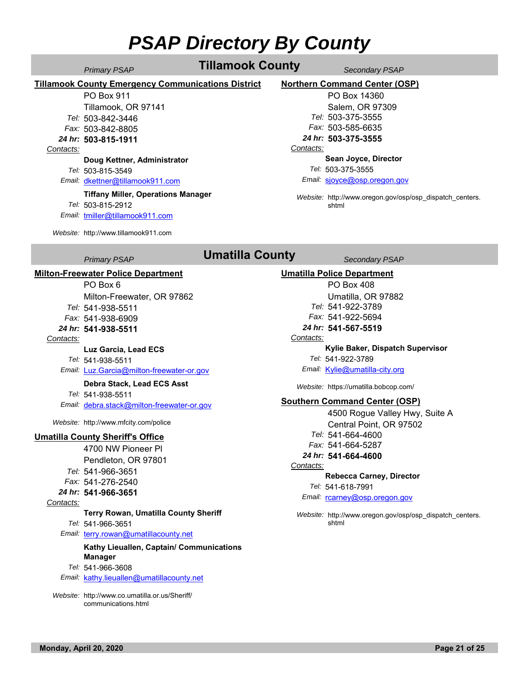## **Tillamook County** *Secondary PSAP* **Tillamook County**

### **Tillamook County Emergency Communications District**

PO Box 911 Tillamook, OR 97141

*Tel:* 503-842-3446 *Fax:* 503-842-8805

*24 hr:* **503-815-1911**

### *Contacts:*

### **Doug Kettner, Administrator**

*Tel:* 503-815-3549

*Email:* dkettner@tillamook911.com

### **Tiffany Miller, Operations Manager**

*Tel:* 503-815-2912

*Email:* tmiller@tillamook911.com

*Website:* http://www.tillamook911.com

## **Northern Command Center (OSP)**

PO Box 14360 Salem, OR 97309 *Tel:* 503-375-3555 *Fax:* 503-585-6635 *24 hr:* **503-375-3555**

### *Contacts:*

*Tel:* 503-375-3555 **Sean Joyce, Director**

*Email:* sjoyce@osp.oregon.gov

*Website:* http://www.oregon.gov/osp/osp\_dispatch\_centers. shtml

## **Umatilla County** *Secondary PSAP* **Umatilla County**

### **Milton-Freewater Police Department**

PO Box 6

Milton-Freewater, OR 97862 *Tel:* 541-938-5511 *Fax:* 541-938-6909 *24 hr:* **541-938-5511**

### *Contacts:*

**Luz Garcia, Lead ECS**

*Tel:* 541-938-5511

*Email:* Luz.Garcia@milton-freewater-or.gov

### **Debra Stack, Lead ECS Asst**

*Tel:* 541-938-5511

*Email:* debra.stack@milton-freewater-or.gov

*Website:* http://www.mfcity.com/police

### **Umatilla County Sheriff's Office**

4700 NW Pioneer Pl

Pendleton, OR 97801

- *Tel:* 541-966-3651
- *Fax:* 541-276-2540

### *24 hr:* **541-966-3651**

#### *Contacts:*

### **Terry Rowan, Umatilla County Sheriff**

*Tel:* 541-966-3651

*Email:* terry.rowan@umatillacounty.net

### *Tel:* 541-966-3608 **Kathy Lieuallen, Captain/ Communications Manager**

*Email:* kathy.lieuallen@umatillacounty.net

*Website:* http://www.co.umatilla.or.us/Sheriff/ communications.html

### **Umatilla Police Department** PO Box 408 Umatilla, OR 97882

*Tel:* 541-922-3789 *Fax:* 541-922-5694

*24 hr:* **541-567-5519**

### *Contacts:*

**Kylie Baker, Dispatch Supervisor**

### *Tel:* 541-922-3789

*Email:* Kylie@umatilla-city.org

*Website:* https://umatilla.bobcop.com/

### **Southern Command Center (OSP)**

4500 Rogue Valley Hwy, Suite A Central Point, OR 97502 *Tel:* 541-664-4600

- *Fax:* 541-664-5287
- *24 hr:* **541-664-4600**

*Contacts:*

### **Rebecca Carney, Director**

*Tel:* 541-618-7991

*Email:* rcarney@osp.oregon.gov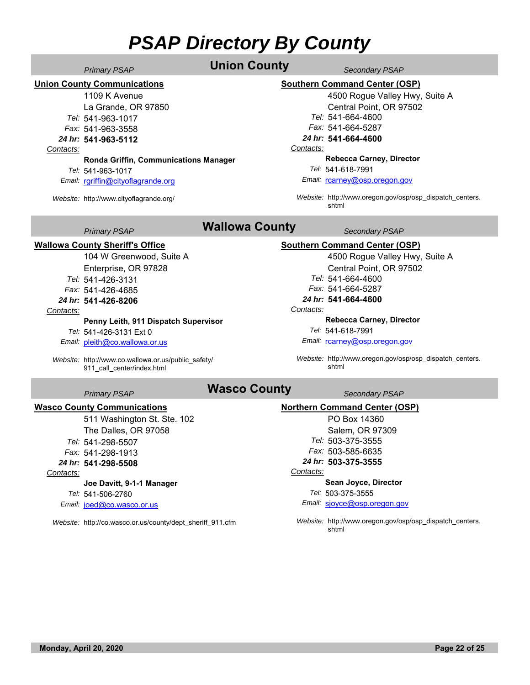## **Union County** *Secondary PSAP* **Union County** *Secondary PSAP*

### **Southern Command Center (OSP)**

1109 K Avenue La Grande, OR 97850 *Tel:* 541-963-1017

### *Fax:* 541-963-3558

*24 hr:* **541-963-5112**

**Union County Communications**

### *Contacts:*

### **Ronda Griffin, Communications Manager**

*Tel:* 541-963-1017

*Email:* rgriffin@cityoflagrande.org

*Website:* http://www.cityoflagrande.org/

4500 Rogue Valley Hwy, Suite A Central Point, OR 97502 *Tel:* 541-664-4600 *Fax:* 541-664-5287 *24 hr:* **541-664-4600**

### *Contacts:*

*Contacts:*

**Rebecca Carney, Director**

*Tel:* 541-618-7991

**Southern Command Center (OSP)**

*Tel:* 541-664-4600 *Fax:* 541-664-5287 *24 hr:* **541-664-4600**

*Email:* rcarney@osp.oregon.gov

*Website:* http://www.oregon.gov/osp/osp\_dispatch\_centers. shtml

4500 Rogue Valley Hwy, Suite A

Central Point, OR 97502

**Rebecca Carney, Director**

## *Primary PSAP* **Wallowa County** *Secondary PSAP*

### **Wallowa County Sheriff's Office**

104 W Greenwood, Suite A Enterprise, OR 97828 *Tel:* 541-426-3131 *Fax:* 541-426-4685

### *24 hr:* **541-426-8206**

*Contacts:*

### **Penny Leith, 911 Dispatch Supervisor**

*Tel:* 541-426-3131 Ext 0

*Email:* pleith@co.wallowa.or.us

*Website:* http://www.co.wallowa.or.us/public\_safety/ 911 call center/index.html

## *Primary PSAP* **Wasco County** *Secondary PSAP*

### **Wasco County Communications**

511 Washington St. Ste. 102 The Dalles, OR 97058 *Tel:* 541-298-5507 *Fax:* 541-298-1913 *24 hr:* **541-298-5508** *Contacts: Email:* joed@co.wasco.or.us *Tel:* 541-506-2760 **Joe Davitt, 9-1-1 Manager**

*Website:* http://co.wasco.or.us/county/dept\_sheriff\_911.cfm

*Website:* http://www.oregon.gov/osp/osp\_dispatch\_centers.

### **Northern Command Center (OSP)**

Email: rcarney@osp.oregon.gov

shtml

*Tel:* 541-618-7991

PO Box 14360 Salem, OR 97309 *Tel:* 503-375-3555 *Fax:* 503-585-6635 *24 hr:* **503-375-3555** *Contacts:*

### **Sean Joyce, Director**

*Tel:* 503-375-3555

*Email:* sjoyce@osp.oregon.gov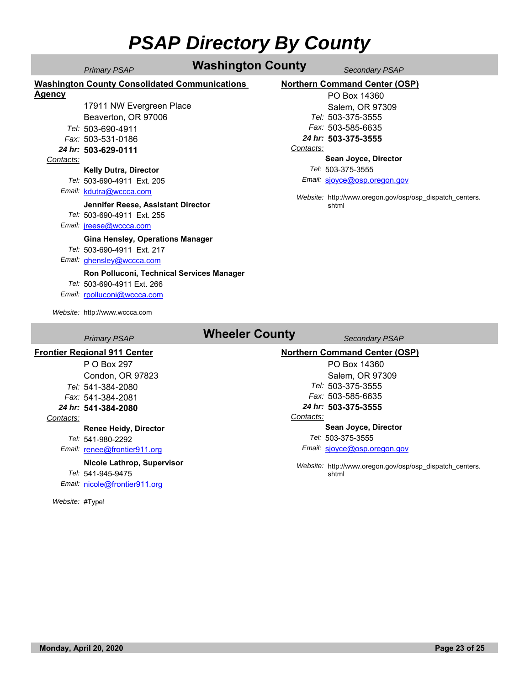## **Washington County** *Secondary PSAP Primary PSAP*

### **Washington County Consolidated Communications**

### **Agency**

17911 NW Evergreen Place Beaverton, OR 97006 *Tel:* 503-690-4911

*Fax:* 503-531-0186

#### *24 hr:* **503-629-0111**

### *Contacts:*

**Kelly Dutra, Director**

*Tel:* 503-690-4911 Ext. 205

*Email:* kdutra@wccca.com

### **Jennifer Reese, Assistant Director**

*Tel:* 503-690-4911 Ext. 255

*Email:* jreese@wccca.com

### **Gina Hensley, Operations Manager**

*Tel:* 503-690-4911 Ext. 217

*Email:* ghensley@wccca.com

### **Ron Polluconi, Technical Services Manager**

*Email:* rpolluconi@wccca.com *Tel:* 503-690-4911 Ext. 266

*Website:* http://www.wccca.com

## **Northern Command Center (OSP)**

PO Box 14360 Salem, OR 97309 *Tel:* 503-375-3555 *Fax:* 503-585-6635

*24 hr:* **503-375-3555** *Contacts:*

### **Sean Joyce, Director**

*Tel:* 503-375-3555

*Email:* sjoyce@osp.oregon.gov

Website: http://www.oregon.gov/osp/osp\_dispatch\_centers. shtml

## **Primary PSAP Wheeler County** *Primary PSAP* Secondary PSAP

### **Frontier Regional 911 Center**

P O Box 297 Condon, OR 97823 *Tel:* 541-384-2080 *Fax:* 541-384-2081 *24 hr:* **541-384-2080** *Contacts: Email:* renee@frontier911.org *Tel:* 541-980-2292 **Renee Heidy, Director** *Tel:* 541-945-9475 **Nicole Lathrop, Supervisor**

*Email:* nicole@frontier911.org

*Website:* #Type!

## **Northern Command Center (OSP)**

PO Box 14360 Salem, OR 97309 *Tel:* 503-375-3555 *Fax:* 503-585-6635 *24 hr:* **503-375-3555**

### *Contacts:*

**Sean Joyce, Director**

*Tel:* 503-375-3555

*Email:* sjoyce@osp.oregon.gov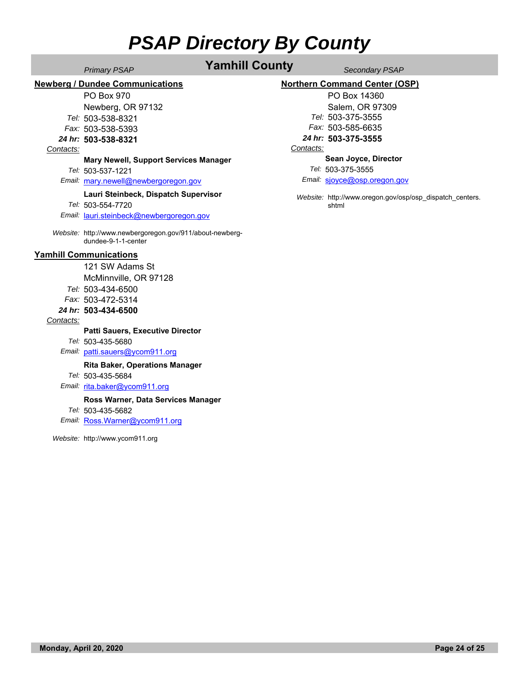**Primary PSAP Yamhill County** *Secondary PSAP* 

**Newberg / Dundee Communications**

### PO Box 970

Newberg, OR 97132

*Tel:* 503-538-8321

*Fax:* 503-538-5393

*24 hr:* **503-538-8321**

### *Contacts:*

### **Mary Newell, Support Services Manager**

*Tel:* 503-537-1221

### *Email:* mary.newell@newbergoregon.gov

### **Lauri Steinbeck, Dispatch Supervisor**

*Tel:* 503-554-7720

*Email:* lauri.steinbeck@newbergoregon.gov

*Website:* http://www.newbergoregon.gov/911/about-newbergdundee-9-1-1-center

### **Yamhill Communications**

121 SW Adams St McMinnville, OR 97128 *Tel:* 503-434-6500

*Fax:* 503-472-5314

### *24 hr:* **503-434-6500**

### *Contacts:*

**Patti Sauers, Executive Director**

*Tel:* 503-435-5680

### *Email:* patti.sauers@ycom911.org

**Rita Baker, Operations Manager**

*Tel:* 503-435-5684

*Email:* rita.baker@ycom911.org

### **Ross Warner, Data Services Manager**

*Tel:* 503-435-5682

*Email:* Ross.Warner@ycom911.org

*Website:* http://www.ycom911.org

### **Northern Command Center (OSP)**

PO Box 14360 Salem, OR 97309 *Tel:* 503-375-3555 *Fax:* 503-585-6635 *24 hr:* **503-375-3555**

### *Contacts:*

**Sean Joyce, Director**

*Tel:* 503-375-3555

*Email:* sjoyce@osp.oregon.gov